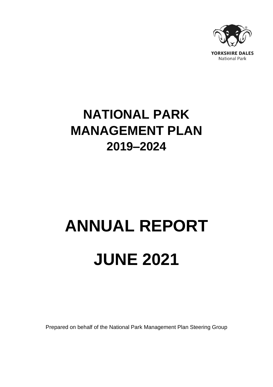

# **NATIONAL PARK MANAGEMENT PLAN 2019–2024**

# **ANNUAL REPORT JUNE 2021**

Prepared on behalf of the National Park Management Plan Steering Group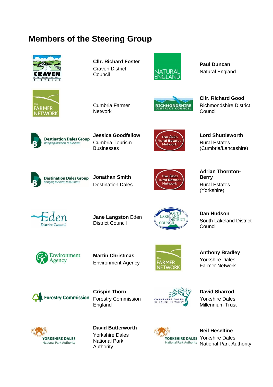## **Members of the Steering Group**





**Cllr. Richard Foster** Craven District **Council** 



**Paul Duncan** Natural England



**RICHMONDSHIRE** 

**Cllr. Richard Good** Richmondshire District Council



**Jessica Goodfellow** Cumbria Tourism **Businesses** 

**Network** 



**Lord Shuttleworth** Rural Estates (Cumbria/Lancashire)



**Jonathan Smith** Destination Dales



**Adrian Thornton-Berry** Rural Estates (Yorkshire)

**District Council** 

**Jane Langston** Eden District Council



**Dan Hudson** South Lakeland District Council



**Martin Christmas** Environment Agency



**Anthony Bradley** Yorkshire Dales Farmer Network



**Crispin Thorn** Forestry Commission England



**David Sharrod** Yorkshire Dales Millennium Trust



**David Butterworth** Yorkshire Dales National Park Authority



**Neil Heseltine** YORKSHIRE DALES Yorkshire Dales National Park Authority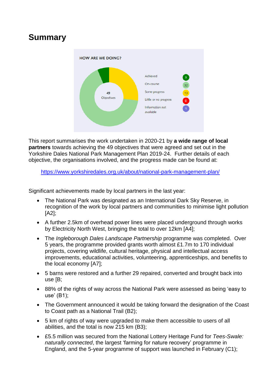### **Summary**



This report summarises the work undertaken in 2020-21 by **a wide range of local partners** towards achieving the 49 objectives that were agreed and set out in the Yorkshire Dales National Park Management Plan 2019-24. Further details of each objective, the organisations involved, and the progress made can be found at:

<https://www.yorkshiredales.org.uk/about/national-park-management-plan/>

Significant achievements made by local partners in the last year:

- The National Park was designated as an International Dark Sky Reserve, in recognition of the work by local partners and communities to minimise light pollution [A2];
- A further 2.5km of overhead power lines were placed underground through works by Electricity North West, bringing the total to over 12km [A4];
- The *Ingleborough Dales Landscape Partnership* programme was completed. Over 5 years, the programme provided grants worth almost £1.7m to 170 individual projects, covering wildlife, cultural heritage, physical and intellectual access improvements, educational activities, volunteering, apprenticeships, and benefits to the local economy [A7];
- 5 barns were restored and a further 29 repaired, converted and brought back into use [B;
- 88% of the rights of way across the National Park were assessed as being 'easy to use' (B1);
- The Government announced it would be taking forward the designation of the Coast to Coast path as a National Trail (B2);
- 5 km of rights of way were upgraded to make them accessible to users of all abilities, and the total is now 215 km (B3);
- £5.5 million was secured from the National Lottery Heritage Fund for *Tees-Swale: naturally connected*, the largest 'farming for nature recovery' programme in England, and the 5-year programme of support was launched in February (C1);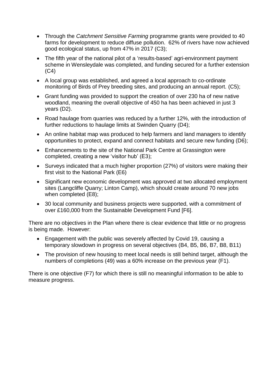- Through the *Catchment Sensitive Farming* programme grants were provided to 40 farms for development to reduce diffuse pollution. 62% of rivers have now achieved good ecological status, up from 47% in 2017 (C3);
- The fifth year of the national pilot of a 'results-based' agri-environment payment scheme in Wensleydale was completed, and funding secured for a further extension  $(C4)$
- A local group was established, and agreed a local approach to co-ordinate monitoring of Birds of Prey breeding sites, and producing an annual report. (C5);
- Grant funding was provided to support the creation of over 230 ha of new native woodland, meaning the overall objective of 450 ha has been achieved in just 3 years (D2).
- Road haulage from quarries was reduced by a further 12%, with the introduction of further reductions to haulage limits at Swinden Quarry (D4);
- An online habitat map was produced to help farmers and land managers to identify opportunities to protect, expand and connect habitats and secure new funding (D6);
- Enhancements to the site of the National Park Centre at Grassington were completed, creating a new 'visitor hub' (E3);
- Surveys indicated that a much higher proportion (27%) of visitors were making their first visit to the National Park (E6)
- Significant new economic development was approved at two allocated employment sites (Langcliffe Quarry; Linton Camp), which should create around 70 new jobs when completed (E8);
- 30 local community and business projects were supported, with a commitment of over £160,000 from the Sustainable Development Fund [F6].

There are no objectives in the Plan where there is clear evidence that little or no progress is being made. However:

- Engagement with the public was severely affected by Covid 19, causing a temporary slowdown in progress on several objectives (B4, B5, B6, B7, B8, B11)
- The provision of new housing to meet local needs is still behind target, although the numbers of completions (49) was a 60% increase on the previous year (F1).

There is one objective (F7) for which there is still no meaningful information to be able to measure progress.